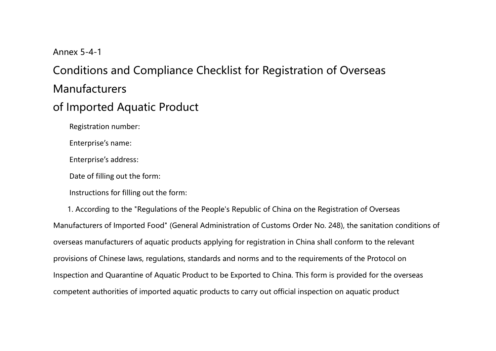## Annex 5-4-1

## Conditions and Compliance Checklist for Registration of Overseas **Manufacturers**

## of Imported Aquatic Product

Registration number:

Enterprise's name:

Enterprise's address:

Date of filling out the form:

Instructions for filling out the form:

1. According to the "Regulations of the People's Republic of China on the Registration of Overseas Manufacturers of Imported Food" (General Administration of Customs Order No. 248), the sanitation conditions of overseas manufacturers of aquatic products applying for registration in China shall conform to the relevant provisions of Chinese laws, regulations, standards and norms and to the requirements of the Protocol on Inspection and Quarantine of Aquatic Product to be Exported to China. This form is provided for the overseas competent authorities of imported aquatic products to carry out official inspection on aquatic product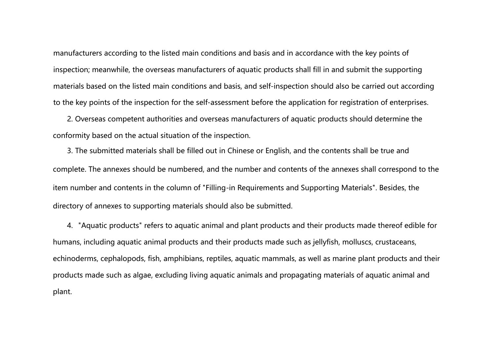manufacturers according to the listed main conditions and basis and in accordance with the key points of inspection; meanwhile, the overseas manufacturers of aquatic products shall fill in and submit the supporting materials based on the listed main conditions and basis, and self-inspection should also be carried out according to the key points of the inspection for the self-assessment before the application for registration of enterprises.

2. Overseas competent authorities and overseas manufacturers of aquatic products should determine the conformity based on the actual situation of the inspection.

3. The submitted materials shall be filled out in Chinese or English, and the contents shall be true and complete. The annexes should be numbered, and the number and contents of the annexes shall correspond to the item number and contents in the column of "Filling-in Requirements and Supporting Materials". Besides, the directory of annexes to supporting materials should also be submitted.

4. "Aquatic products" refers to aquatic animal and plant products and their products made thereof edible for humans, including aquatic animal products and their products made such as jellyfish, molluscs, crustaceans, echinoderms, cephalopods, fish, amphibians, reptiles, aquatic mammals, as well as marine plant products and their products made such as algae, excluding living aquatic animals and propagating materials of aquatic animal and plant.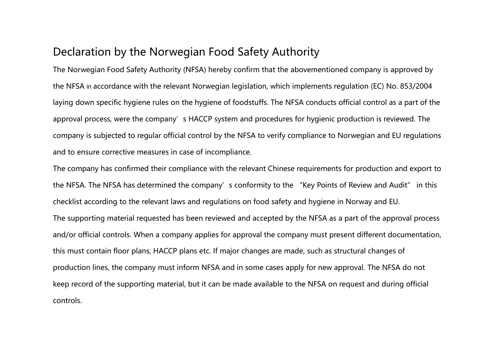## Declaration by the Norwegian Food Safety Authority

The Norwegian Food Safety Authority (NFSA) hereby confirm that the abovementioned company is approved by the NFSA in accordance with the relevant Norwegian legislation, which implements regulation (EC) No. 853/2004 laying down specific hygiene rules on the hygiene of foodstuffs. The NFSA conducts official control as a part of the approval process, were the company's HACCP system and procedures for hygienic production is reviewed. The company is subjected to regular official control by the NFSA to verify compliance to Norwegian and EU regulations and to ensure corrective measures in case of incompliance.

The company has confirmed their compliance with the relevant Chinese requirements for production and export to the NFSA. The NFSA has determined the company's conformity to the "Key Points of Review and Audit" in this checklist according to the relevant laws and regulations on food safety and hygiene in Norway and EU. The supporting material requested has been reviewed and accepted by the NFSA as a part of the approval process and/or official controls. When a company applies for approval the company must present different documentation, this must contain floor plans, HACCP plans etc. If major changes are made, such as structural changes of production lines, the company must inform NFSA and in some cases apply for new approval. The NFSA do not keep record of the supporting material, but it can be made available to the NFSA on request and during official controls.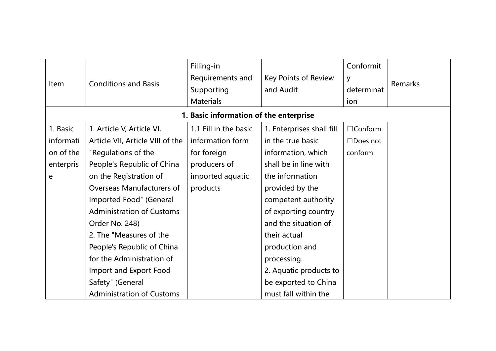| <b>Item</b> | <b>Conditions and Basis</b>      | Filling-in<br>Requirements and<br>Supporting<br><b>Materials</b> | Key Points of Review<br>and Audit | Conformit<br>y<br>determinat<br>ion | Remarks |
|-------------|----------------------------------|------------------------------------------------------------------|-----------------------------------|-------------------------------------|---------|
|             |                                  | 1. Basic information of the enterprise                           |                                   |                                     |         |
| 1. Basic    | 1. Article V, Article VI,        | 1.1 Fill in the basic                                            | 1. Enterprises shall fill         | $\Box$ Conform                      |         |
| informati   | Article VII, Article VIII of the | information form                                                 | in the true basic                 | $\Box$ Does not                     |         |
| on of the   | "Regulations of the              | for foreign                                                      | information, which                | conform                             |         |
| enterpris   | People's Republic of China       | producers of                                                     | shall be in line with             |                                     |         |
| e           | on the Registration of           | imported aquatic                                                 | the information                   |                                     |         |
|             | Overseas Manufacturers of        | products                                                         | provided by the                   |                                     |         |
|             | Imported Food" (General          |                                                                  | competent authority               |                                     |         |
|             | <b>Administration of Customs</b> |                                                                  | of exporting country              |                                     |         |
|             | Order No. 248)                   |                                                                  | and the situation of              |                                     |         |
|             | 2. The "Measures of the          |                                                                  | their actual                      |                                     |         |
|             | People's Republic of China       |                                                                  | production and                    |                                     |         |
|             | for the Administration of        |                                                                  | processing.                       |                                     |         |
|             | Import and Export Food           |                                                                  | 2. Aquatic products to            |                                     |         |
|             | Safety" (General                 |                                                                  | be exported to China              |                                     |         |
|             | <b>Administration of Customs</b> |                                                                  | must fall within the              |                                     |         |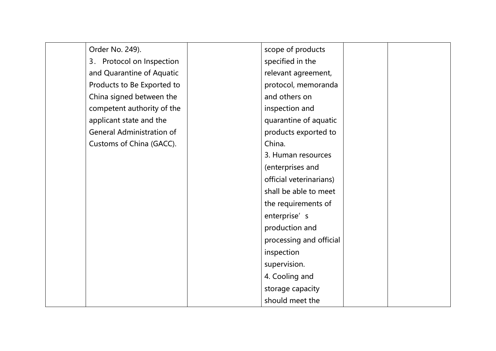| Order No. 249).                  | scope of products       |  |
|----------------------------------|-------------------------|--|
| 3. Protocol on Inspection        | specified in the        |  |
| and Quarantine of Aquatic        | relevant agreement,     |  |
| Products to Be Exported to       | protocol, memoranda     |  |
| China signed between the         | and others on           |  |
| competent authority of the       | inspection and          |  |
| applicant state and the          | quarantine of aquatic   |  |
| <b>General Administration of</b> | products exported to    |  |
| Customs of China (GACC).         | China.                  |  |
|                                  | 3. Human resources      |  |
|                                  | (enterprises and        |  |
|                                  | official veterinarians) |  |
|                                  | shall be able to meet   |  |
|                                  | the requirements of     |  |
|                                  | enterprise' s           |  |
|                                  | production and          |  |
|                                  | processing and official |  |
|                                  | inspection              |  |
|                                  | supervision.            |  |
|                                  | 4. Cooling and          |  |
|                                  | storage capacity        |  |
|                                  | should meet the         |  |
|                                  |                         |  |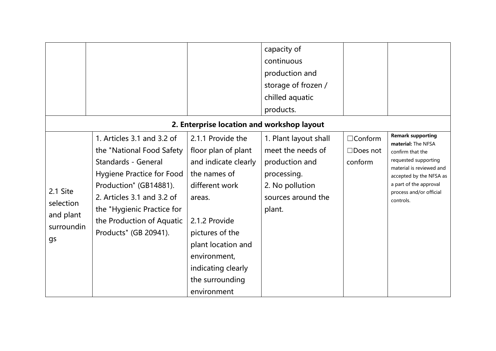|            |                                            |                      | capacity of           |                 |                                                     |  |  |  |  |
|------------|--------------------------------------------|----------------------|-----------------------|-----------------|-----------------------------------------------------|--|--|--|--|
|            |                                            |                      | continuous            |                 |                                                     |  |  |  |  |
|            |                                            |                      | production and        |                 |                                                     |  |  |  |  |
|            |                                            |                      | storage of frozen /   |                 |                                                     |  |  |  |  |
|            |                                            |                      | chilled aquatic       |                 |                                                     |  |  |  |  |
|            |                                            |                      | products.             |                 |                                                     |  |  |  |  |
|            | 2. Enterprise location and workshop layout |                      |                       |                 |                                                     |  |  |  |  |
|            | 1. Articles 3.1 and 3.2 of                 | 2.1.1 Provide the    | 1. Plant layout shall | $\Box$ Conform  | <b>Remark supporting</b><br>material: The NFSA      |  |  |  |  |
|            | the "National Food Safety                  | floor plan of plant  | meet the needs of     | $\Box$ Does not | confirm that the                                    |  |  |  |  |
|            | <b>Standards - General</b>                 | and indicate clearly | production and        | conform         | requested supporting                                |  |  |  |  |
|            | <b>Hygiene Practice for Food</b>           | the names of         | processing.           |                 | material is reviewed and<br>accepted by the NFSA as |  |  |  |  |
|            | Production" (GB14881).                     | different work       | 2. No pollution       |                 | a part of the approval                              |  |  |  |  |
| 2.1 Site   | 2. Articles 3.1 and 3.2 of                 | areas.               | sources around the    |                 | process and/or official<br>controls.                |  |  |  |  |
| selection  | the "Hygienic Practice for                 |                      | plant.                |                 |                                                     |  |  |  |  |
| and plant  | the Production of Aquatic                  | 2.1.2 Provide        |                       |                 |                                                     |  |  |  |  |
| surroundin | Products" (GB 20941).                      | pictures of the      |                       |                 |                                                     |  |  |  |  |
| gs         |                                            | plant location and   |                       |                 |                                                     |  |  |  |  |
|            |                                            | environment,         |                       |                 |                                                     |  |  |  |  |
|            |                                            | indicating clearly   |                       |                 |                                                     |  |  |  |  |
|            |                                            | the surrounding      |                       |                 |                                                     |  |  |  |  |
|            |                                            | environment          |                       |                 |                                                     |  |  |  |  |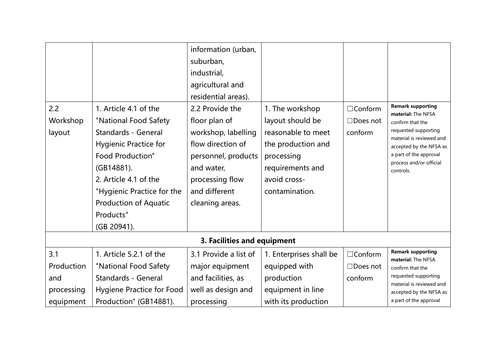| 2.2<br>Workshop<br>layout | 1. Article 4.1 of the<br>"National Food Safety<br><b>Standards - General</b><br><b>Hygienic Practice for</b><br><b>Food Production"</b><br>(GB14881).<br>2. Article 4.1 of the<br>"Hygienic Practice for the<br><b>Production of Aquatic</b><br>Products"<br>(GB 20941). | information (urban,<br>suburban,<br>industrial,<br>agricultural and<br>residential areas).<br>2.2 Provide the<br>floor plan of<br>workshop, labelling<br>flow direction of<br>personnel, products<br>and water,<br>processing flow<br>and different<br>cleaning areas. | 1. The workshop<br>layout should be<br>reasonable to meet<br>the production and<br>processing<br>requirements and<br>avoid cross-<br>contamination. | $\Box$ Conform<br>$\Box$ Does not<br>conform | <b>Remark supporting</b><br>material: The NFSA<br>confirm that the<br>requested supporting<br>material is reviewed and<br>accepted by the NFSA as<br>a part of the approval<br>process and/or official<br>controls. |
|---------------------------|--------------------------------------------------------------------------------------------------------------------------------------------------------------------------------------------------------------------------------------------------------------------------|------------------------------------------------------------------------------------------------------------------------------------------------------------------------------------------------------------------------------------------------------------------------|-----------------------------------------------------------------------------------------------------------------------------------------------------|----------------------------------------------|---------------------------------------------------------------------------------------------------------------------------------------------------------------------------------------------------------------------|
|                           |                                                                                                                                                                                                                                                                          | 3. Facilities and equipment                                                                                                                                                                                                                                            |                                                                                                                                                     |                                              |                                                                                                                                                                                                                     |
| 3.1                       | 1. Article 5.2.1 of the                                                                                                                                                                                                                                                  | 3.1 Provide a list of                                                                                                                                                                                                                                                  | 1. Enterprises shall be                                                                                                                             | $\Box$ Conform                               | <b>Remark supporting</b><br>material: The NFSA                                                                                                                                                                      |
| Production                | "National Food Safety                                                                                                                                                                                                                                                    | major equipment                                                                                                                                                                                                                                                        | equipped with                                                                                                                                       | $\Box$ Does not                              | confirm that the                                                                                                                                                                                                    |
| and                       | <b>Standards - General</b>                                                                                                                                                                                                                                               | and facilities, as                                                                                                                                                                                                                                                     | production                                                                                                                                          | conform                                      | requested supporting<br>material is reviewed and                                                                                                                                                                    |
| processing                | <b>Hygiene Practice for Food</b>                                                                                                                                                                                                                                         | well as design and                                                                                                                                                                                                                                                     | equipment in line                                                                                                                                   |                                              | accepted by the NFSA as                                                                                                                                                                                             |
| equipment                 | Production" (GB14881).                                                                                                                                                                                                                                                   | processing                                                                                                                                                                                                                                                             | with its production                                                                                                                                 |                                              | a part of the approval                                                                                                                                                                                              |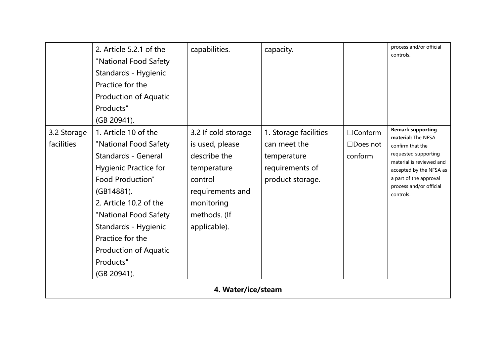|                           | 2. Article 5.2.1 of the<br>"National Food Safety<br>Standards - Hygienic<br>Practice for the<br><b>Production of Aquatic</b><br>Products"<br>(GB 20941).                                                                                                                                                        | capabilities.                                                                                                                                      | capacity.                                                                                   |                                              | process and/or official<br>controls.                                                                                                                                                                                |
|---------------------------|-----------------------------------------------------------------------------------------------------------------------------------------------------------------------------------------------------------------------------------------------------------------------------------------------------------------|----------------------------------------------------------------------------------------------------------------------------------------------------|---------------------------------------------------------------------------------------------|----------------------------------------------|---------------------------------------------------------------------------------------------------------------------------------------------------------------------------------------------------------------------|
| 3.2 Storage<br>facilities | 1. Article 10 of the<br>"National Food Safety<br><b>Standards - General</b><br><b>Hygienic Practice for</b><br><b>Food Production"</b><br>(GB14881).<br>2. Article 10.2 of the<br>"National Food Safety<br>Standards - Hygienic<br>Practice for the<br><b>Production of Aquatic</b><br>Products"<br>(GB 20941). | 3.2 If cold storage<br>is used, please<br>describe the<br>temperature<br>control<br>requirements and<br>monitoring<br>methods. (If<br>applicable). | 1. Storage facilities<br>can meet the<br>temperature<br>requirements of<br>product storage. | $\Box$ Conform<br>$\Box$ Does not<br>conform | <b>Remark supporting</b><br>material: The NFSA<br>confirm that the<br>requested supporting<br>material is reviewed and<br>accepted by the NFSA as<br>a part of the approval<br>process and/or official<br>controls. |
|                           |                                                                                                                                                                                                                                                                                                                 | 4. Water/ice/steam                                                                                                                                 |                                                                                             |                                              |                                                                                                                                                                                                                     |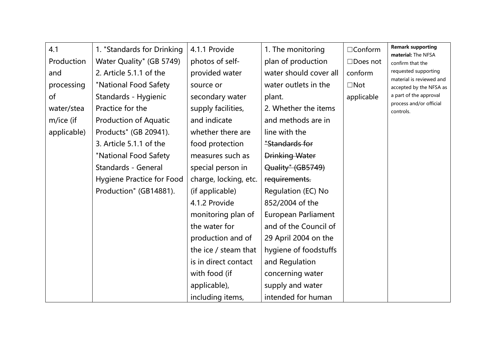| 4.1         | 1. "Standards for Drinking       | 4.1.1 Provide         | 1. The monitoring      | $\Box$ Conform  | <b>Remark supporting</b>                            |
|-------------|----------------------------------|-----------------------|------------------------|-----------------|-----------------------------------------------------|
| Production  | Water Quality" (GB 5749)         | photos of self-       | plan of production     | $\Box$ Does not | material: The NFSA<br>confirm that the              |
| and         | 2. Article 5.1.1 of the          | provided water        | water should cover all | conform         | requested supporting                                |
| processing  | "National Food Safety            | source or             | water outlets in the   | $\Box$ Not      | material is reviewed and<br>accepted by the NFSA as |
| of          | Standards - Hygienic             | secondary water       | plant.                 | applicable      | a part of the approval                              |
| water/stea  | Practice for the                 | supply facilities,    | 2. Whether the items   |                 | process and/or official<br>controls.                |
| m/ice (if   | <b>Production of Aquatic</b>     | and indicate          | and methods are in     |                 |                                                     |
| applicable) | Products" (GB 20941).            | whether there are     | line with the          |                 |                                                     |
|             | 3. Article 5.1.1 of the          | food protection       | "Standards for         |                 |                                                     |
|             | "National Food Safety            | measures such as      | <b>Drinking Water</b>  |                 |                                                     |
|             | <b>Standards - General</b>       | special person in     | Quality" (GB5749)      |                 |                                                     |
|             | <b>Hygiene Practice for Food</b> | charge, locking, etc. | requirements.          |                 |                                                     |
|             | Production" (GB14881).           | (if applicable)       | Regulation (EC) No     |                 |                                                     |
|             |                                  | 4.1.2 Provide         | 852/2004 of the        |                 |                                                     |
|             |                                  | monitoring plan of    | European Parliament    |                 |                                                     |
|             |                                  | the water for         | and of the Council of  |                 |                                                     |
|             |                                  | production and of     | 29 April 2004 on the   |                 |                                                     |
|             |                                  | the ice / steam that  | hygiene of foodstuffs  |                 |                                                     |
|             |                                  | is in direct contact  | and Regulation         |                 |                                                     |
|             |                                  | with food (if         | concerning water       |                 |                                                     |
|             |                                  | applicable),          | supply and water       |                 |                                                     |
|             |                                  | including items,      | intended for human     |                 |                                                     |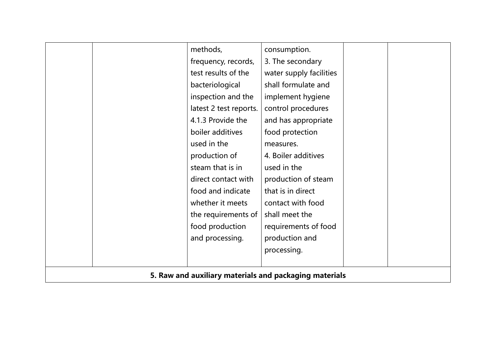|                                                        | methods,               | consumption.            |  |  |  |
|--------------------------------------------------------|------------------------|-------------------------|--|--|--|
|                                                        | frequency, records,    | 3. The secondary        |  |  |  |
|                                                        | test results of the    | water supply facilities |  |  |  |
|                                                        | bacteriological        | shall formulate and     |  |  |  |
|                                                        | inspection and the     | implement hygiene       |  |  |  |
|                                                        | latest 2 test reports. | control procedures      |  |  |  |
|                                                        | 4.1.3 Provide the      | and has appropriate     |  |  |  |
|                                                        | boiler additives       | food protection         |  |  |  |
|                                                        | used in the            | measures.               |  |  |  |
|                                                        | production of          | 4. Boiler additives     |  |  |  |
|                                                        | steam that is in       | used in the             |  |  |  |
|                                                        | direct contact with    | production of steam     |  |  |  |
|                                                        | food and indicate      | that is in direct       |  |  |  |
|                                                        | whether it meets       | contact with food       |  |  |  |
|                                                        | the requirements of    | shall meet the          |  |  |  |
|                                                        | food production        | requirements of food    |  |  |  |
|                                                        | and processing.        | production and          |  |  |  |
|                                                        |                        | processing.             |  |  |  |
|                                                        |                        |                         |  |  |  |
| 5. Raw and auxiliary materials and packaging materials |                        |                         |  |  |  |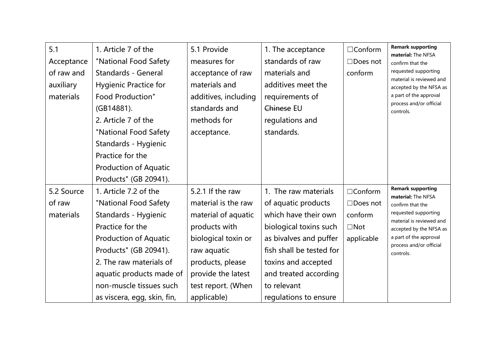| 5.1<br>Acceptance<br>of raw and<br>auxiliary<br>materials | 1. Article 7 of the<br>"National Food Safety<br>Standards - General<br><b>Hygienic Practice for</b><br><b>Food Production"</b><br>(GB14881).<br>2. Article 7 of the<br>"National Food Safety<br>Standards - Hygienic<br>Practice for the<br><b>Production of Aquatic</b><br>Products" (GB 20941). | 5.1 Provide<br>measures for<br>acceptance of raw<br>materials and<br>additives, including<br>standards and<br>methods for<br>acceptance.                                                             | 1. The acceptance<br>standards of raw<br>materials and<br>additives meet the<br>requirements of<br>Chinese EU<br>regulations and<br>standards.                                                                                              | $\Box$ Conform<br>$\Box$ Does not<br>conform                             | <b>Remark supporting</b><br>material: The NFSA<br>confirm that the<br>requested supporting<br>material is reviewed and<br>accepted by the NFSA as<br>a part of the approval<br>process and/or official<br>controls. |
|-----------------------------------------------------------|---------------------------------------------------------------------------------------------------------------------------------------------------------------------------------------------------------------------------------------------------------------------------------------------------|------------------------------------------------------------------------------------------------------------------------------------------------------------------------------------------------------|---------------------------------------------------------------------------------------------------------------------------------------------------------------------------------------------------------------------------------------------|--------------------------------------------------------------------------|---------------------------------------------------------------------------------------------------------------------------------------------------------------------------------------------------------------------|
| 5.2 Source<br>of raw<br>materials                         | 1. Article 7.2 of the<br>"National Food Safety<br>Standards - Hygienic<br>Practice for the<br><b>Production of Aquatic</b><br>Products" (GB 20941).<br>2. The raw materials of<br>aquatic products made of<br>non-muscle tissues such<br>as viscera, egg, skin, fin,                              | 5.2.1 If the raw<br>material is the raw<br>material of aquatic<br>products with<br>biological toxin or<br>raw aquatic<br>products, please<br>provide the latest<br>test report. (When<br>applicable) | 1. The raw materials<br>of aquatic products<br>which have their own<br>biological toxins such<br>as bivalves and puffer<br>fish shall be tested for<br>toxins and accepted<br>and treated according<br>to relevant<br>regulations to ensure | $\Box$ Conform<br>$\Box$ Does not<br>conform<br>$\Box$ Not<br>applicable | <b>Remark supporting</b><br>material: The NFSA<br>confirm that the<br>requested supporting<br>material is reviewed and<br>accepted by the NFSA as<br>a part of the approval<br>process and/or official<br>controls. |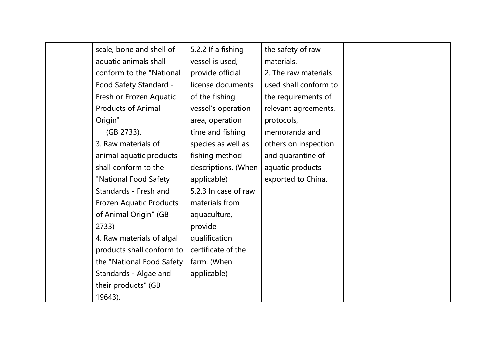| scale, bone and shell of  | 5.2.2 If a fishing   | the safety of raw     |  |
|---------------------------|----------------------|-----------------------|--|
| aquatic animals shall     | vessel is used,      | materials.            |  |
| conform to the "National  | provide official     | 2. The raw materials  |  |
| Food Safety Standard -    | license documents    | used shall conform to |  |
| Fresh or Frozen Aquatic   | of the fishing       | the requirements of   |  |
| <b>Products of Animal</b> | vessel's operation   | relevant agreements,  |  |
| Origin"                   | area, operation      | protocols,            |  |
| (GB 2733).                | time and fishing     | memoranda and         |  |
| 3. Raw materials of       | species as well as   | others on inspection  |  |
| animal aquatic products   | fishing method       | and quarantine of     |  |
| shall conform to the      | descriptions. (When  | aquatic products      |  |
| "National Food Safety     | applicable)          | exported to China.    |  |
| Standards - Fresh and     | 5.2.3 In case of raw |                       |  |
| Frozen Aquatic Products   | materials from       |                       |  |
| of Animal Origin" (GB     | aquaculture,         |                       |  |
| 2733)                     | provide              |                       |  |
| 4. Raw materials of algal | qualification        |                       |  |
| products shall conform to | certificate of the   |                       |  |
| the "National Food Safety | farm. (When          |                       |  |
| Standards - Algae and     | applicable)          |                       |  |
| their products" (GB       |                      |                       |  |
| 19643).                   |                      |                       |  |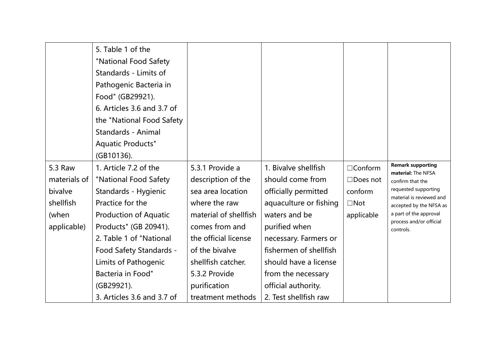| 5.3 Raw<br>materials of<br>bivalve<br>shellfish<br>(when<br>applicable) | 5. Table 1 of the<br>"National Food Safety<br>Standards - Limits of<br>Pathogenic Bacteria in<br>Food" (GB29921).<br>6. Articles 3.6 and 3.7 of<br>the "National Food Safety<br>Standards - Animal<br><b>Aquatic Products"</b><br>(GB10136).<br>1. Article 7.2 of the<br>"National Food Safety<br>Standards - Hygienic<br>Practice for the<br><b>Production of Aquatic</b><br>Products" (GB 20941).<br>2. Table 1 of "National<br>Food Safety Standards -<br>Limits of Pathogenic<br>Bacteria in Food"<br>(GB29921).<br>3. Articles 3.6 and 3.7 of | 5.3.1 Provide a<br>description of the<br>sea area location<br>where the raw<br>material of shellfish<br>comes from and<br>the official license<br>of the bivalve<br>shellfish catcher.<br>5.3.2 Provide<br>purification<br>treatment methods | 1. Bivalve shellfish<br>should come from<br>officially permitted<br>aquaculture or fishing<br>waters and be<br>purified when<br>necessary. Farmers or<br>fishermen of shellfish<br>should have a license<br>from the necessary<br>official authority.<br>2. Test shellfish raw | $\Box$ Conform<br>$\Box$ Does not<br>conform<br>$\Box$ Not<br>applicable | <b>Remark supporting</b><br>material: The NFSA<br>confirm that the<br>requested supporting<br>material is reviewed and<br>accepted by the NFSA as<br>a part of the approval<br>process and/or official<br>controls. |
|-------------------------------------------------------------------------|----------------------------------------------------------------------------------------------------------------------------------------------------------------------------------------------------------------------------------------------------------------------------------------------------------------------------------------------------------------------------------------------------------------------------------------------------------------------------------------------------------------------------------------------------|----------------------------------------------------------------------------------------------------------------------------------------------------------------------------------------------------------------------------------------------|--------------------------------------------------------------------------------------------------------------------------------------------------------------------------------------------------------------------------------------------------------------------------------|--------------------------------------------------------------------------|---------------------------------------------------------------------------------------------------------------------------------------------------------------------------------------------------------------------|
|-------------------------------------------------------------------------|----------------------------------------------------------------------------------------------------------------------------------------------------------------------------------------------------------------------------------------------------------------------------------------------------------------------------------------------------------------------------------------------------------------------------------------------------------------------------------------------------------------------------------------------------|----------------------------------------------------------------------------------------------------------------------------------------------------------------------------------------------------------------------------------------------|--------------------------------------------------------------------------------------------------------------------------------------------------------------------------------------------------------------------------------------------------------------------------------|--------------------------------------------------------------------------|---------------------------------------------------------------------------------------------------------------------------------------------------------------------------------------------------------------------|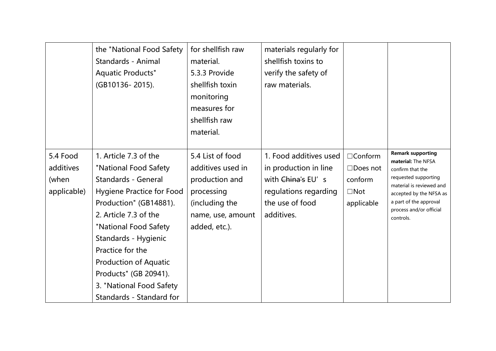|                                               | the "National Food Safety<br>Standards - Animal<br><b>Aquatic Products"</b><br>(GB10136-2015).                                                                                                                                                                                                                                                            | for shellfish raw<br>material.<br>5.3.3 Provide<br>shellfish toxin<br>monitoring<br>measures for<br>shellfish raw<br>material. | materials regularly for<br>shellfish toxins to<br>verify the safety of<br>raw materials.                                       |                                                                          |                                                                                                                                                                                                                     |
|-----------------------------------------------|-----------------------------------------------------------------------------------------------------------------------------------------------------------------------------------------------------------------------------------------------------------------------------------------------------------------------------------------------------------|--------------------------------------------------------------------------------------------------------------------------------|--------------------------------------------------------------------------------------------------------------------------------|--------------------------------------------------------------------------|---------------------------------------------------------------------------------------------------------------------------------------------------------------------------------------------------------------------|
| 5.4 Food<br>additives<br>(when<br>applicable) | 1. Article 7.3 of the<br>"National Food Safety<br><b>Standards - General</b><br><b>Hygiene Practice for Food</b><br>Production" (GB14881).<br>2. Article 7.3 of the<br>"National Food Safety<br>Standards - Hygienic<br>Practice for the<br><b>Production of Aquatic</b><br>Products" (GB 20941).<br>3. "National Food Safety<br>Standards - Standard for | 5.4 List of food<br>additives used in<br>production and<br>processing<br>(including the<br>name, use, amount<br>added, etc.).  | 1. Food additives used<br>in production in line<br>with China's EU's<br>regulations regarding<br>the use of food<br>additives. | $\Box$ Conform<br>$\Box$ Does not<br>conform<br>$\Box$ Not<br>applicable | <b>Remark supporting</b><br>material: The NFSA<br>confirm that the<br>requested supporting<br>material is reviewed and<br>accepted by the NFSA as<br>a part of the approval<br>process and/or official<br>controls. |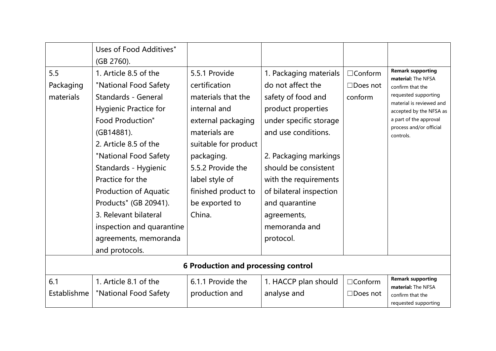|                               | Uses of Food Additives"<br>(GB 2760).                                                                                                                                                                                                                                                                                                                                                                         |                                                                                                                                                                                                                                             |                                                                                                                                                                                                                                                                                                              |                                              |                                                                                                                                                                                                                     |  |  |  |  |
|-------------------------------|---------------------------------------------------------------------------------------------------------------------------------------------------------------------------------------------------------------------------------------------------------------------------------------------------------------------------------------------------------------------------------------------------------------|---------------------------------------------------------------------------------------------------------------------------------------------------------------------------------------------------------------------------------------------|--------------------------------------------------------------------------------------------------------------------------------------------------------------------------------------------------------------------------------------------------------------------------------------------------------------|----------------------------------------------|---------------------------------------------------------------------------------------------------------------------------------------------------------------------------------------------------------------------|--|--|--|--|
| 5.5<br>Packaging<br>materials | 1. Article 8.5 of the<br>"National Food Safety<br><b>Standards - General</b><br><b>Hygienic Practice for</b><br><b>Food Production"</b><br>(GB14881).<br>2. Article 8.5 of the<br>"National Food Safety<br>Standards - Hygienic<br>Practice for the<br><b>Production of Aquatic</b><br>Products" (GB 20941).<br>3. Relevant bilateral<br>inspection and quarantine<br>agreements, memoranda<br>and protocols. | 5.5.1 Provide<br>certification<br>materials that the<br>internal and<br>external packaging<br>materials are<br>suitable for product<br>packaging.<br>5.5.2 Provide the<br>label style of<br>finished product to<br>be exported to<br>China. | 1. Packaging materials<br>do not affect the<br>safety of food and<br>product properties<br>under specific storage<br>and use conditions.<br>2. Packaging markings<br>should be consistent<br>with the requirements<br>of bilateral inspection<br>and quarantine<br>agreements,<br>memoranda and<br>protocol. | $\Box$ Conform<br>$\Box$ Does not<br>conform | <b>Remark supporting</b><br>material: The NFSA<br>confirm that the<br>requested supporting<br>material is reviewed and<br>accepted by the NFSA as<br>a part of the approval<br>process and/or official<br>controls. |  |  |  |  |
|                               | <b>6 Production and processing control</b>                                                                                                                                                                                                                                                                                                                                                                    |                                                                                                                                                                                                                                             |                                                                                                                                                                                                                                                                                                              |                                              |                                                                                                                                                                                                                     |  |  |  |  |
| 6.1<br>Establishme            | 1. Article 8.1 of the<br>"National Food Safety                                                                                                                                                                                                                                                                                                                                                                | 6.1.1 Provide the<br>production and                                                                                                                                                                                                         | 1. HACCP plan should<br>analyse and                                                                                                                                                                                                                                                                          | $\Box$ Conform<br>□Does not                  | <b>Remark supporting</b><br>material: The NFSA<br>confirm that the<br>requested supporting                                                                                                                          |  |  |  |  |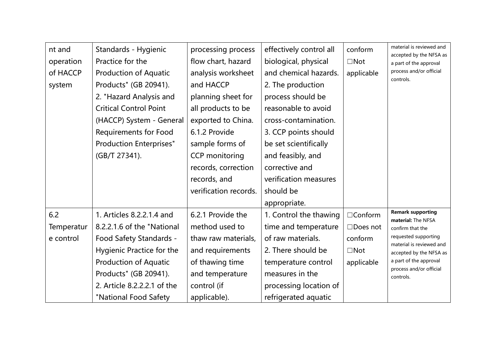| nt and     | Standards - Hygienic           | processing process    | effectively control all | conform         | material is reviewed and                            |
|------------|--------------------------------|-----------------------|-------------------------|-----------------|-----------------------------------------------------|
| operation  | Practice for the               | flow chart, hazard    | biological, physical    | $\square$ Not   | accepted by the NFSA as<br>a part of the approval   |
| of HACCP   | <b>Production of Aquatic</b>   | analysis worksheet    | and chemical hazards.   | applicable      | process and/or official                             |
| system     | Products" (GB 20941).          | and HACCP             | 2. The production       |                 | controls.                                           |
|            | 2. "Hazard Analysis and        | planning sheet for    | process should be       |                 |                                                     |
|            | <b>Critical Control Point</b>  | all products to be    | reasonable to avoid     |                 |                                                     |
|            | (HACCP) System - General       | exported to China.    | cross-contamination.    |                 |                                                     |
|            | <b>Requirements for Food</b>   | 6.1.2 Provide         | 3. CCP points should    |                 |                                                     |
|            | <b>Production Enterprises"</b> | sample forms of       | be set scientifically   |                 |                                                     |
|            | (GB/T 27341).                  | <b>CCP</b> monitoring | and feasibly, and       |                 |                                                     |
|            |                                | records, correction   | corrective and          |                 |                                                     |
|            |                                | records, and          | verification measures   |                 |                                                     |
|            |                                | verification records. | should be               |                 |                                                     |
|            |                                |                       | appropriate.            |                 |                                                     |
| 6.2        | 1. Articles 8.2.2.1.4 and      | 6.2.1 Provide the     | 1. Control the thawing  | $\Box$ Conform  | <b>Remark supporting</b><br>material: The NFSA      |
| Temperatur | 8.2.2.1.6 of the "National     | method used to        | time and temperature    | $\Box$ Does not | confirm that the                                    |
| e control  | Food Safety Standards -        | thaw raw materials,   | of raw materials.       | conform         | requested supporting                                |
|            | Hygienic Practice for the      | and requirements      | 2. There should be      | $\square$ Not   | material is reviewed and<br>accepted by the NFSA as |
|            | <b>Production of Aquatic</b>   | of thawing time       | temperature control     | applicable      | a part of the approval                              |
|            | Products" (GB 20941).          | and temperature       | measures in the         |                 | process and/or official<br>controls.                |
|            | 2. Article 8.2.2.2.1 of the    | control (if           | processing location of  |                 |                                                     |
|            | "National Food Safety          | applicable).          | refrigerated aquatic    |                 |                                                     |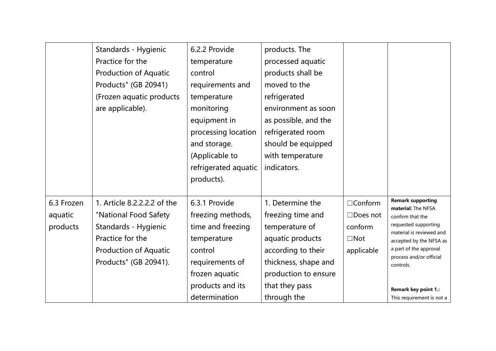|            | Standards - Hygienic         | 6.2.2 Provide        | products. The        |                 |                                                     |
|------------|------------------------------|----------------------|----------------------|-----------------|-----------------------------------------------------|
|            | Practice for the             | temperature          | processed aquatic    |                 |                                                     |
|            | <b>Production of Aquatic</b> | control              | products shall be    |                 |                                                     |
|            | Products" (GB 20941)         | requirements and     | moved to the         |                 |                                                     |
|            | (Frozen aquatic products     | temperature          | refrigerated         |                 |                                                     |
|            | are applicable).             | monitoring           | environment as soon  |                 |                                                     |
|            |                              | equipment in         | as possible, and the |                 |                                                     |
|            |                              | processing location  | refrigerated room    |                 |                                                     |
|            |                              | and storage.         | should be equipped   |                 |                                                     |
|            |                              | (Applicable to       | with temperature     |                 |                                                     |
|            |                              | refrigerated aquatic | indicators.          |                 |                                                     |
|            |                              | products).           |                      |                 |                                                     |
|            |                              |                      |                      |                 |                                                     |
| 6.3 Frozen | 1. Article 8.2.2.2.2 of the  | 6.3.1 Provide        | 1. Determine the     | $\Box$ Conform  | <b>Remark supporting</b><br>material: The NFSA      |
| aquatic    | "National Food Safety        | freezing methods,    | freezing time and    | $\Box$ Does not | confirm that the                                    |
| products   | Standards - Hygienic         | time and freezing    | temperature of       | conform         | requested supporting                                |
|            | Practice for the             | temperature          | aquatic products     | $\Box$ Not      | material is reviewed and<br>accepted by the NFSA as |
|            | <b>Production of Aquatic</b> | control              | according to their   | applicable      | a part of the approval                              |
|            | Products" (GB 20941).        | requirements of      | thickness, shape and |                 | process and/or official<br>controls.                |
|            |                              | frozen aquatic       | production to ensure |                 |                                                     |
|            |                              | products and its     | that they pass       |                 | Remark key point 1.:                                |
|            |                              | determination        | through the          |                 | This requirement is not a                           |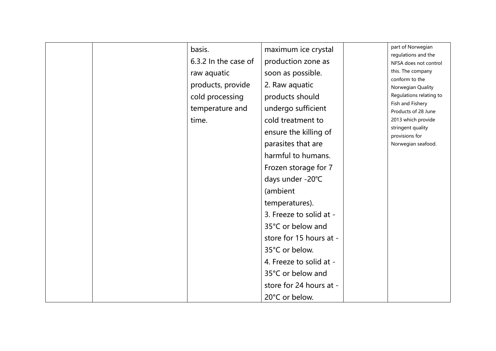| basis.               | maximum ice crystal     | part of Norwegian<br>regulations and the  |
|----------------------|-------------------------|-------------------------------------------|
| 6.3.2 In the case of | production zone as      | NFSA does not control                     |
| raw aquatic          | soon as possible.       | this. The company                         |
| products, provide    | 2. Raw aquatic          | conform to the<br>Norwegian Quality       |
| cold processing      | products should         | Regulations relating to                   |
| temperature and      | undergo sufficient      | Fish and Fishery                          |
| time.                | cold treatment to       | Products of 28 June<br>2013 which provide |
|                      |                         | stringent quality                         |
|                      | ensure the killing of   | provisions for                            |
|                      | parasites that are      | Norwegian seafood.                        |
|                      | harmful to humans.      |                                           |
|                      | Frozen storage for 7    |                                           |
|                      | days under -20°C        |                                           |
|                      | (ambient                |                                           |
|                      | temperatures).          |                                           |
|                      | 3. Freeze to solid at - |                                           |
|                      | 35°C or below and       |                                           |
|                      | store for 15 hours at - |                                           |
|                      | 35°C or below.          |                                           |
|                      | 4. Freeze to solid at - |                                           |
|                      | 35°C or below and       |                                           |
|                      | store for 24 hours at - |                                           |
|                      | 20°C or below.          |                                           |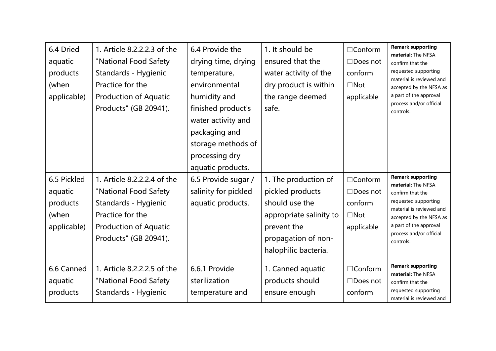| 6.4 Dried<br>aquatic<br>products<br>(when<br>applicable)<br>6.5 Pickled<br>aquatic<br>products<br>(when<br>applicable) | 1. Article 8.2.2.2.3 of the<br>"National Food Safety<br>Standards - Hygienic<br>Practice for the<br><b>Production of Aquatic</b><br>Products" (GB 20941).<br>1. Article 8.2.2.2.4 of the<br>"National Food Safety<br>Standards - Hygienic<br>Practice for the<br><b>Production of Aquatic</b> | 6.4 Provide the<br>drying time, drying<br>temperature,<br>environmental<br>humidity and<br>finished product's<br>water activity and<br>packaging and<br>storage methods of<br>processing dry<br>aquatic products.<br>6.5 Provide sugar /<br>salinity for pickled<br>aquatic products. | 1. It should be<br>ensured that the<br>water activity of the<br>dry product is within<br>the range deemed<br>safe.<br>1. The production of<br>pickled products<br>should use the<br>appropriate salinity to<br>prevent the | $\Box$ Conform<br>$\Box$ Does not<br>conform<br>$\Box$ Not<br>applicable<br>$\Box$ Conform<br>$\Box$ Does not<br>conform<br>$\Box$ Not<br>applicable | <b>Remark supporting</b><br>material: The NFSA<br>confirm that the<br>requested supporting<br>material is reviewed and<br>accepted by the NFSA as<br>a part of the approval<br>process and/or official<br>controls.<br><b>Remark supporting</b><br>material: The NFSA<br>confirm that the<br>requested supporting<br>material is reviewed and<br>accepted by the NFSA as<br>a part of the approval |
|------------------------------------------------------------------------------------------------------------------------|-----------------------------------------------------------------------------------------------------------------------------------------------------------------------------------------------------------------------------------------------------------------------------------------------|---------------------------------------------------------------------------------------------------------------------------------------------------------------------------------------------------------------------------------------------------------------------------------------|----------------------------------------------------------------------------------------------------------------------------------------------------------------------------------------------------------------------------|------------------------------------------------------------------------------------------------------------------------------------------------------|----------------------------------------------------------------------------------------------------------------------------------------------------------------------------------------------------------------------------------------------------------------------------------------------------------------------------------------------------------------------------------------------------|
|                                                                                                                        | Products" (GB 20941).                                                                                                                                                                                                                                                                         |                                                                                                                                                                                                                                                                                       | propagation of non-<br>halophilic bacteria.                                                                                                                                                                                |                                                                                                                                                      | process and/or official<br>controls.                                                                                                                                                                                                                                                                                                                                                               |
| 6.6 Canned<br>aquatic<br>products                                                                                      | 1. Article 8.2.2.2.5 of the<br>"National Food Safety<br>Standards - Hygienic                                                                                                                                                                                                                  | 6.6.1 Provide<br>sterilization<br>temperature and                                                                                                                                                                                                                                     | 1. Canned aquatic<br>products should<br>ensure enough                                                                                                                                                                      | $\Box$ Conform<br>$\Box$ Does not<br>conform                                                                                                         | <b>Remark supporting</b><br>material: The NFSA<br>confirm that the<br>requested supporting<br>material is reviewed and                                                                                                                                                                                                                                                                             |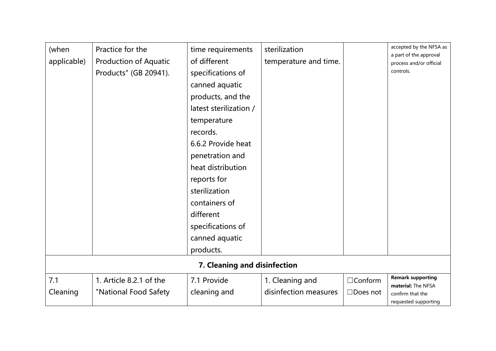| (when<br>applicable) | Practice for the<br><b>Production of Aquatic</b><br>Products" (GB 20941).                                                                                     | time requirements<br>of different<br>specifications of<br>canned aquatic<br>products, and the<br>latest sterilization /<br>temperature<br>records.<br>6.6.2 Provide heat<br>penetration and<br>heat distribution<br>reports for<br>sterilization<br>containers of<br>different<br>specifications of<br>canned aquatic<br>products. | sterilization<br>temperature and time. |                 | accepted by the NFSA as<br>a part of the approval<br>process and/or official<br>controls. |  |  |  |
|----------------------|---------------------------------------------------------------------------------------------------------------------------------------------------------------|------------------------------------------------------------------------------------------------------------------------------------------------------------------------------------------------------------------------------------------------------------------------------------------------------------------------------------|----------------------------------------|-----------------|-------------------------------------------------------------------------------------------|--|--|--|
| 7.1                  | 7. Cleaning and disinfection<br><b>Remark supporting</b><br>1. Article 8.2.1 of the<br>7.1 Provide<br>1. Cleaning and<br>$\Box$ Conform<br>material: The NFSA |                                                                                                                                                                                                                                                                                                                                    |                                        |                 |                                                                                           |  |  |  |
| Cleaning             | "National Food Safety                                                                                                                                         | cleaning and                                                                                                                                                                                                                                                                                                                       | disinfection measures                  | $\Box$ Does not | confirm that the<br>requested supporting                                                  |  |  |  |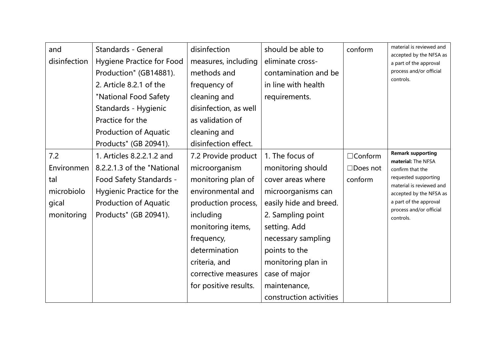| and<br>disinfection                                           | Standards - General<br><b>Hygiene Practice for Food</b><br>Production" (GB14881).<br>2. Article 8.2.1 of the<br>"National Food Safety<br>Standards - Hygienic<br>Practice for the<br><b>Production of Aquatic</b><br>Products" (GB 20941). | disinfection<br>measures, including<br>methods and<br>frequency of<br>cleaning and<br>disinfection, as well<br>as validation of<br>cleaning and<br>disinfection effect.                                                                  | should be able to<br>eliminate cross-<br>contamination and be<br>in line with health<br>requirements.                                                                                                                                                                   | conform                                      | material is reviewed and<br>accepted by the NFSA as<br>a part of the approval<br>process and/or official<br>controls.                                                                                               |
|---------------------------------------------------------------|--------------------------------------------------------------------------------------------------------------------------------------------------------------------------------------------------------------------------------------------|------------------------------------------------------------------------------------------------------------------------------------------------------------------------------------------------------------------------------------------|-------------------------------------------------------------------------------------------------------------------------------------------------------------------------------------------------------------------------------------------------------------------------|----------------------------------------------|---------------------------------------------------------------------------------------------------------------------------------------------------------------------------------------------------------------------|
| 7.2<br>Environmen<br>tal<br>microbiolo<br>gical<br>monitoring | 1. Articles 8.2.2.1.2 and<br>8.2.2.1.3 of the "National<br>Food Safety Standards -<br>Hygienic Practice for the<br><b>Production of Aquatic</b><br>Products" (GB 20941).                                                                   | 7.2 Provide product<br>microorganism<br>monitoring plan of<br>environmental and<br>production process,<br>including<br>monitoring items,<br>frequency,<br>determination<br>criteria, and<br>corrective measures<br>for positive results. | 1. The focus of<br>monitoring should<br>cover areas where<br>microorganisms can<br>easily hide and breed.<br>2. Sampling point<br>setting. Add<br>necessary sampling<br>points to the<br>monitoring plan in<br>case of major<br>maintenance,<br>construction activities | $\Box$ Conform<br>$\Box$ Does not<br>conform | <b>Remark supporting</b><br>material: The NFSA<br>confirm that the<br>requested supporting<br>material is reviewed and<br>accepted by the NFSA as<br>a part of the approval<br>process and/or official<br>controls. |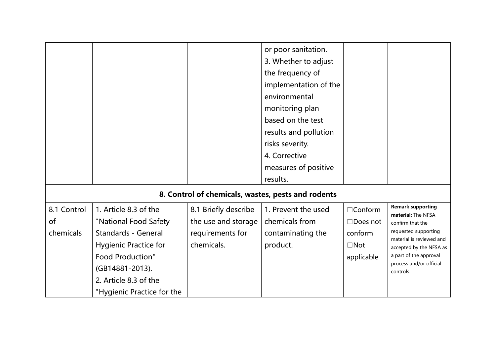|             |                              |                      | or poor sanitation.                                |                 |                                                     |
|-------------|------------------------------|----------------------|----------------------------------------------------|-----------------|-----------------------------------------------------|
|             |                              |                      | 3. Whether to adjust                               |                 |                                                     |
|             |                              |                      | the frequency of                                   |                 |                                                     |
|             |                              |                      | implementation of the                              |                 |                                                     |
|             |                              |                      | environmental                                      |                 |                                                     |
|             |                              |                      | monitoring plan                                    |                 |                                                     |
|             |                              |                      | based on the test                                  |                 |                                                     |
|             |                              |                      | results and pollution                              |                 |                                                     |
|             |                              |                      | risks severity.                                    |                 |                                                     |
|             |                              |                      | 4. Corrective                                      |                 |                                                     |
|             |                              |                      | measures of positive                               |                 |                                                     |
|             |                              |                      | results.                                           |                 |                                                     |
|             |                              |                      | 8. Control of chemicals, wastes, pests and rodents |                 |                                                     |
| 8.1 Control | 1. Article 8.3 of the        | 8.1 Briefly describe | 1. Prevent the used                                | $\Box$ Conform  | <b>Remark supporting</b>                            |
| of          | "National Food Safety        | the use and storage  | chemicals from                                     | $\Box$ Does not | material: The NFSA<br>confirm that the              |
| chemicals   | <b>Standards - General</b>   | requirements for     | contaminating the                                  | conform         | requested supporting                                |
|             | <b>Hygienic Practice for</b> | chemicals.           | product.                                           | $\Box$ Not      | material is reviewed and<br>accepted by the NFSA as |
|             | <b>Food Production"</b>      |                      |                                                    | applicable      | a part of the approval                              |
|             | (GB14881-2013).              |                      |                                                    |                 | process and/or official<br>controls.                |
|             | 2. Article 8.3 of the        |                      |                                                    |                 |                                                     |
|             | "Hygienic Practice for the   |                      |                                                    |                 |                                                     |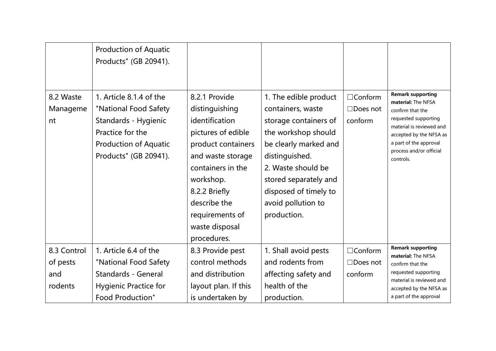|                             | <b>Production of Aquatic</b><br>Products" (GB 20941).                                                                                                 |                                                                                                                                                                                                                                           |                                                                                                                                                                                                                                                    |                                              |                                                                                                                                                                                                                     |
|-----------------------------|-------------------------------------------------------------------------------------------------------------------------------------------------------|-------------------------------------------------------------------------------------------------------------------------------------------------------------------------------------------------------------------------------------------|----------------------------------------------------------------------------------------------------------------------------------------------------------------------------------------------------------------------------------------------------|----------------------------------------------|---------------------------------------------------------------------------------------------------------------------------------------------------------------------------------------------------------------------|
| 8.2 Waste<br>Manageme<br>nt | 1. Article 8.1.4 of the<br>"National Food Safety<br>Standards - Hygienic<br>Practice for the<br><b>Production of Aquatic</b><br>Products" (GB 20941). | 8.2.1 Provide<br>distinguishing<br>identification<br>pictures of edible<br>product containers<br>and waste storage<br>containers in the<br>workshop.<br>8.2.2 Briefly<br>describe the<br>requirements of<br>waste disposal<br>procedures. | 1. The edible product<br>containers, waste<br>storage containers of<br>the workshop should<br>be clearly marked and<br>distinguished.<br>2. Waste should be<br>stored separately and<br>disposed of timely to<br>avoid pollution to<br>production. | $\Box$ Conform<br>$\Box$ Does not<br>conform | <b>Remark supporting</b><br>material: The NFSA<br>confirm that the<br>requested supporting<br>material is reviewed and<br>accepted by the NFSA as<br>a part of the approval<br>process and/or official<br>controls. |
| 8.3 Control                 | 1. Article 6.4 of the                                                                                                                                 | 8.3 Provide pest                                                                                                                                                                                                                          | 1. Shall avoid pests                                                                                                                                                                                                                               | $\Box$ Conform                               | <b>Remark supporting</b><br>material: The NFSA                                                                                                                                                                      |
| of pests                    | "National Food Safety                                                                                                                                 | control methods                                                                                                                                                                                                                           | and rodents from                                                                                                                                                                                                                                   | $\Box$ Does not                              | confirm that the                                                                                                                                                                                                    |
| and                         | <b>Standards - General</b>                                                                                                                            | and distribution                                                                                                                                                                                                                          | affecting safety and                                                                                                                                                                                                                               | conform                                      | requested supporting<br>material is reviewed and                                                                                                                                                                    |
| rodents                     | <b>Hygienic Practice for</b>                                                                                                                          | layout plan. If this                                                                                                                                                                                                                      | health of the                                                                                                                                                                                                                                      |                                              | accepted by the NFSA as                                                                                                                                                                                             |
|                             | <b>Food Production"</b>                                                                                                                               | is undertaken by                                                                                                                                                                                                                          | production.                                                                                                                                                                                                                                        |                                              | a part of the approval                                                                                                                                                                                              |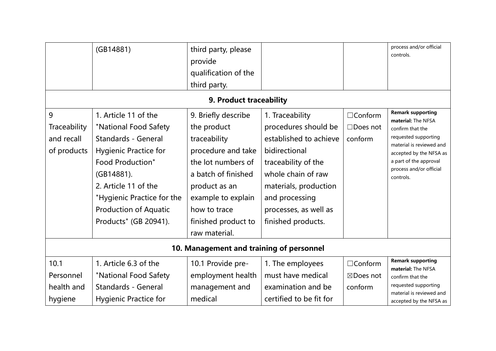|                                                | (GB14881)                                                                                                                                                                                                                                                           | third party, please<br>provide<br>qualification of the<br>third party.                                                                                                                                               |                                                                                                                                                                                                                           |                                              | process and/or official<br>controls.                                                                                                                                                                                |  |  |
|------------------------------------------------|---------------------------------------------------------------------------------------------------------------------------------------------------------------------------------------------------------------------------------------------------------------------|----------------------------------------------------------------------------------------------------------------------------------------------------------------------------------------------------------------------|---------------------------------------------------------------------------------------------------------------------------------------------------------------------------------------------------------------------------|----------------------------------------------|---------------------------------------------------------------------------------------------------------------------------------------------------------------------------------------------------------------------|--|--|
|                                                |                                                                                                                                                                                                                                                                     | 9. Product traceability                                                                                                                                                                                              |                                                                                                                                                                                                                           |                                              |                                                                                                                                                                                                                     |  |  |
| 9<br>Traceability<br>and recall<br>of products | 1. Article 11 of the<br>"National Food Safety<br><b>Standards - General</b><br><b>Hygienic Practice for</b><br><b>Food Production"</b><br>(GB14881).<br>2. Article 11 of the<br>"Hygienic Practice for the<br><b>Production of Aquatic</b><br>Products" (GB 20941). | 9. Briefly describe<br>the product<br>traceability<br>procedure and take<br>the lot numbers of<br>a batch of finished<br>product as an<br>example to explain<br>how to trace<br>finished product to<br>raw material. | 1. Traceability<br>procedures should be<br>established to achieve<br>bidirectional<br>traceability of the<br>whole chain of raw<br>materials, production<br>and processing<br>processes, as well as<br>finished products. | $\Box$ Conform<br>$\Box$ Does not<br>conform | <b>Remark supporting</b><br>material: The NFSA<br>confirm that the<br>requested supporting<br>material is reviewed and<br>accepted by the NFSA as<br>a part of the approval<br>process and/or official<br>controls. |  |  |
| 10. Management and training of personnel       |                                                                                                                                                                                                                                                                     |                                                                                                                                                                                                                      |                                                                                                                                                                                                                           |                                              |                                                                                                                                                                                                                     |  |  |
| 10.1<br>Personnel                              | 1. Article 6.3 of the                                                                                                                                                                                                                                               | 10.1 Provide pre-                                                                                                                                                                                                    | 1. The employees<br>must have medical                                                                                                                                                                                     | $\Box$ Conform<br>⊠Does not                  | <b>Remark supporting</b><br>material: The NFSA                                                                                                                                                                      |  |  |
| health and<br>hygiene                          | "National Food Safety<br><b>Standards - General</b><br><b>Hygienic Practice for</b>                                                                                                                                                                                 | employment health<br>management and<br>medical                                                                                                                                                                       | examination and be<br>certified to be fit for                                                                                                                                                                             | conform                                      | confirm that the<br>requested supporting<br>material is reviewed and<br>accepted by the NFSA as                                                                                                                     |  |  |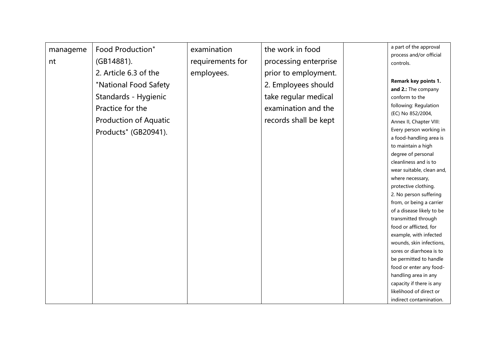| manageme<br>nt | Food Production"<br>(GB14881).<br>2. Article 6.3 of the<br>"National Food Safety<br>Standards - Hygienic<br>Practice for the<br><b>Production of Aquatic</b><br>Products" (GB20941). | examination<br>requirements for<br>employees. | the work in food<br>processing enterprise<br>prior to employment.<br>2. Employees should<br>take regular medical<br>examination and the<br>records shall be kept |  | a part of the approval<br>process and/or official<br>controls.<br>Remark key points 1.<br>and 2.: The company<br>conform to the<br>following: Regulation<br>(EC) No 852/2004,<br>Annex II, Chapter VIII:<br>Every person working in<br>a food-handling area is<br>to maintain a high<br>degree of personal<br>cleanliness and is to<br>wear suitable, clean and,<br>where necessary,<br>protective clothing.<br>2. No person suffering<br>from, or being a carrier<br>of a disease likely to be<br>transmitted through<br>food or afflicted, for<br>example, with infected<br>wounds, skin infections,<br>sores or diarrhoea is to<br>be permitted to handle<br>food or enter any food-<br>handling area in any<br>capacity if there is any<br>likelihood of direct or<br>indirect contamination. |
|----------------|--------------------------------------------------------------------------------------------------------------------------------------------------------------------------------------|-----------------------------------------------|------------------------------------------------------------------------------------------------------------------------------------------------------------------|--|---------------------------------------------------------------------------------------------------------------------------------------------------------------------------------------------------------------------------------------------------------------------------------------------------------------------------------------------------------------------------------------------------------------------------------------------------------------------------------------------------------------------------------------------------------------------------------------------------------------------------------------------------------------------------------------------------------------------------------------------------------------------------------------------------|
|----------------|--------------------------------------------------------------------------------------------------------------------------------------------------------------------------------------|-----------------------------------------------|------------------------------------------------------------------------------------------------------------------------------------------------------------------|--|---------------------------------------------------------------------------------------------------------------------------------------------------------------------------------------------------------------------------------------------------------------------------------------------------------------------------------------------------------------------------------------------------------------------------------------------------------------------------------------------------------------------------------------------------------------------------------------------------------------------------------------------------------------------------------------------------------------------------------------------------------------------------------------------------|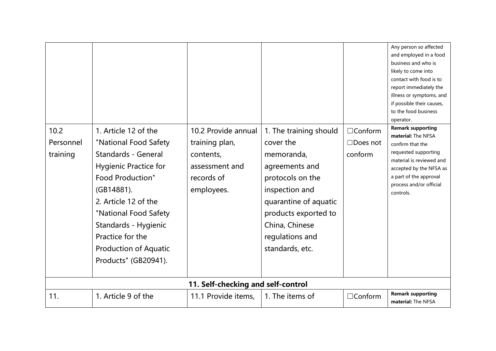| 10.2<br>Personnel<br>training | 1. Article 12 of the<br>"National Food Safety<br><b>Standards - General</b><br><b>Hygienic Practice for</b><br><b>Food Production"</b><br>(GB14881).<br>2. Article 12 of the<br>"National Food Safety<br>Standards - Hygienic<br>Practice for the<br><b>Production of Aquatic</b><br>Products" (GB20941). | 10.2 Provide annual<br>training plan,<br>contents,<br>assessment and<br>records of<br>employees.<br>11. Self-checking and self-control | 1. The training should<br>cover the<br>memoranda,<br>agreements and<br>protocols on the<br>inspection and<br>quarantine of aquatic<br>products exported to<br>China, Chinese<br>regulations and<br>standards, etc. | $\Box$ Conform<br>$\Box$ Does not<br>conform | Any person so affected<br>and employed in a food<br>business and who is<br>likely to come into<br>contact with food is to<br>report immediately the<br>illness or symptoms, and<br>if possible their causes,<br>to the food business<br>operator.<br><b>Remark supporting</b><br>material: The NFSA<br>confirm that the<br>requested supporting<br>material is reviewed and<br>accepted by the NFSA as<br>a part of the approval<br>process and/or official<br>controls. |
|-------------------------------|-----------------------------------------------------------------------------------------------------------------------------------------------------------------------------------------------------------------------------------------------------------------------------------------------------------|----------------------------------------------------------------------------------------------------------------------------------------|--------------------------------------------------------------------------------------------------------------------------------------------------------------------------------------------------------------------|----------------------------------------------|--------------------------------------------------------------------------------------------------------------------------------------------------------------------------------------------------------------------------------------------------------------------------------------------------------------------------------------------------------------------------------------------------------------------------------------------------------------------------|
| 11.                           | 1. Article 9 of the                                                                                                                                                                                                                                                                                       | 11.1 Provide items,                                                                                                                    | 1. The items of                                                                                                                                                                                                    | $\Box$ Conform                               | <b>Remark supporting</b><br>material: The NFSA                                                                                                                                                                                                                                                                                                                                                                                                                           |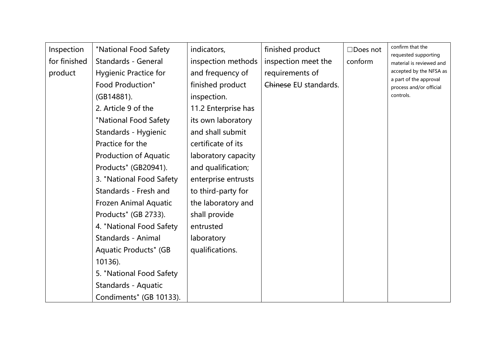| Inspection<br>for finished<br>product | "National Food Safety<br><b>Standards - General</b><br><b>Hygienic Practice for</b><br>Food Production"<br>(GB14881).<br>2. Article 9 of the<br>"National Food Safety<br>Standards - Hygienic<br>Practice for the<br><b>Production of Aquatic</b><br>Products" (GB20941).<br>3. "National Food Safety<br>Standards - Fresh and<br>Frozen Animal Aquatic<br>Products" (GB 2733).<br>4. "National Food Safety<br>Standards - Animal<br><b>Aquatic Products" (GB</b><br>10136).<br>5. "National Food Safety | indicators,<br>inspection methods<br>and frequency of<br>finished product<br>inspection.<br>11.2 Enterprise has<br>its own laboratory<br>and shall submit<br>certificate of its<br>laboratory capacity<br>and qualification;<br>enterprise entrusts<br>to third-party for<br>the laboratory and<br>shall provide<br>entrusted<br>laboratory<br>qualifications. | finished product<br>inspection meet the<br>requirements of<br>Chinese EU standards. | $\Box$ Does not<br>conform | confirm that the<br>requested supporting<br>material is reviewed and<br>accepted by the NFSA as<br>a part of the approval<br>process and/or official<br>controls. |
|---------------------------------------|----------------------------------------------------------------------------------------------------------------------------------------------------------------------------------------------------------------------------------------------------------------------------------------------------------------------------------------------------------------------------------------------------------------------------------------------------------------------------------------------------------|----------------------------------------------------------------------------------------------------------------------------------------------------------------------------------------------------------------------------------------------------------------------------------------------------------------------------------------------------------------|-------------------------------------------------------------------------------------|----------------------------|-------------------------------------------------------------------------------------------------------------------------------------------------------------------|
|                                       | Standards - Aquatic<br>Condiments" (GB 10133).                                                                                                                                                                                                                                                                                                                                                                                                                                                           |                                                                                                                                                                                                                                                                                                                                                                |                                                                                     |                            |                                                                                                                                                                   |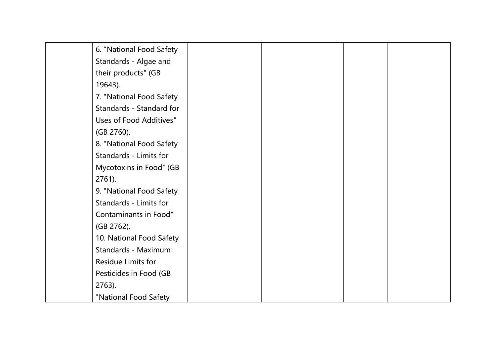| 6. "National Food Safety |  |  |
|--------------------------|--|--|
| Standards - Algae and    |  |  |
| their products" (GB      |  |  |
| 19643).                  |  |  |
| 7. "National Food Safety |  |  |
| Standards - Standard for |  |  |
| Uses of Food Additives"  |  |  |
| (GB 2760).               |  |  |
| 8. "National Food Safety |  |  |
| Standards - Limits for   |  |  |
| Mycotoxins in Food" (GB  |  |  |
| $2761$ ).                |  |  |
| 9. "National Food Safety |  |  |
| Standards - Limits for   |  |  |
| Contaminants in Food"    |  |  |
| (GB 2762).               |  |  |
| 10. National Food Safety |  |  |
| Standards - Maximum      |  |  |
| Residue Limits for       |  |  |
| Pesticides in Food (GB   |  |  |
| 2763).                   |  |  |
| "National Food Safety    |  |  |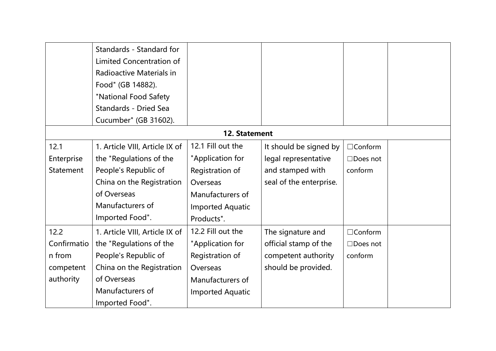|               | Standards - Standard for       |                         |                         |                 |  |  |  |  |
|---------------|--------------------------------|-------------------------|-------------------------|-----------------|--|--|--|--|
|               | Limited Concentration of       |                         |                         |                 |  |  |  |  |
|               | Radioactive Materials in       |                         |                         |                 |  |  |  |  |
|               | Food" (GB 14882).              |                         |                         |                 |  |  |  |  |
|               | "National Food Safety          |                         |                         |                 |  |  |  |  |
|               | <b>Standards - Dried Sea</b>   |                         |                         |                 |  |  |  |  |
|               | Cucumber" (GB 31602).          |                         |                         |                 |  |  |  |  |
| 12. Statement |                                |                         |                         |                 |  |  |  |  |
| 12.1          | 1. Article VIII, Article IX of | 12.1 Fill out the       | It should be signed by  | $\Box$ Conform  |  |  |  |  |
| Enterprise    | the "Regulations of the        | "Application for        | legal representative    | $\Box$ Does not |  |  |  |  |
| Statement     | People's Republic of           | Registration of         | and stamped with        | conform         |  |  |  |  |
|               | China on the Registration      | Overseas                | seal of the enterprise. |                 |  |  |  |  |
|               | of Overseas                    | Manufacturers of        |                         |                 |  |  |  |  |
|               | Manufacturers of               | <b>Imported Aquatic</b> |                         |                 |  |  |  |  |
|               | Imported Food".                | Products".              |                         |                 |  |  |  |  |
| 12.2          | 1. Article VIII, Article IX of | 12.2 Fill out the       | The signature and       | $\Box$ Conform  |  |  |  |  |
| Confirmatio   | the "Regulations of the        | "Application for        | official stamp of the   | $\Box$ Does not |  |  |  |  |
| n from        | People's Republic of           | Registration of         | competent authority     | conform         |  |  |  |  |
| competent     | China on the Registration      | Overseas                | should be provided.     |                 |  |  |  |  |
| authority     | of Overseas                    | Manufacturers of        |                         |                 |  |  |  |  |
|               | Manufacturers of               | <b>Imported Aquatic</b> |                         |                 |  |  |  |  |
|               | Imported Food".                |                         |                         |                 |  |  |  |  |